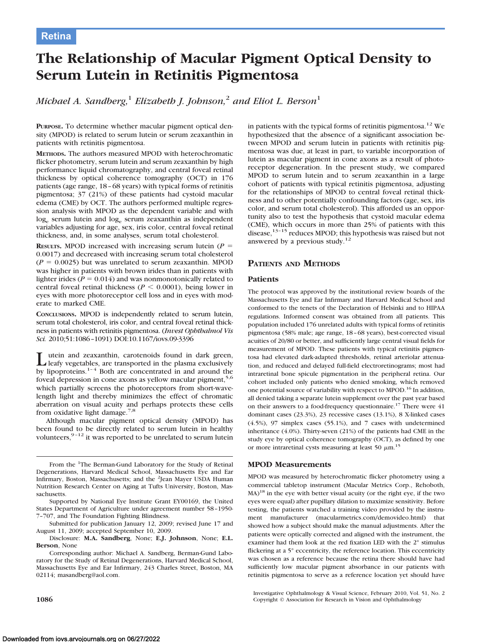# **The Relationship of Macular Pigment Optical Density to Serum Lutein in Retinitis Pigmentosa**

*Michael A. Sandberg,*<sup>1</sup> *Elizabeth J. Johnson,*<sup>2</sup> *and Eliot L. Berson*<sup>1</sup>

**PURPOSE.** To determine whether macular pigment optical density (MPOD) is related to serum lutein or serum zeaxanthin in patients with retinitis pigmentosa.

**METHODS.** The authors measured MPOD with heterochromatic flicker photometry, serum lutein and serum zeaxanthin by high performance liquid chromatography, and central foveal retinal thickness by optical coherence tomography (OCT) in 176 patients (age range, 18 – 68 years) with typical forms of retinitis pigmentosa; 37 (21%) of these patients had cystoid macular edema (CME) by OCT. The authors performed multiple regression analysis with MPOD as the dependent variable and with log<sub>e</sub> serum lutein and log<sub>e</sub> serum zeaxanthin as independent variables adjusting for age, sex, iris color, central foveal retinal thickness, and, in some analyses, serum total cholesterol.

**RESULTS.** MPOD increased with increasing serum lutein ( $P =$ 0.0017) and decreased with increasing serum total cholesterol  $(P = 0.0025)$  but was unrelated to serum zeaxanthin. MPOD was higher in patients with brown irides than in patients with lighter irides ( $P = 0.014$ ) and was nonmonotonically related to central foveal retinal thickness ( $P \leq 0.0001$ ), being lower in eyes with more photoreceptor cell loss and in eyes with moderate to marked CME.

**CONCLUSIONS.** MPOD is independently related to serum lutein, serum total cholesterol, iris color, and central foveal retinal thickness in patients with retinitis pigmentosa. (*Invest Ophthalmol Vis Sci.* 2010;51:1086 –1091) DOI:10.1167/iovs.09-3396

L utein and zeaxanthin, carotenoids found in dark green,<br>leafy vegetables, are transported in the plasma exclusively<br>leading proportional in and around the by lipoproteins. $1-4$  Both are concentrated in and around the foveal depression in cone axons as yellow macular pigment,<sup>5,6</sup> which partially screens the photoreceptors from short-wavelength light and thereby minimizes the effect of chromatic aberration on visual acuity and perhaps protects these cells from oxidative light damage.<sup>7,8</sup>

Although macular pigment optical density (MPOD) has been found to be directly related to serum lutein in healthy volunteers,  $9-12$  it was reported to be unrelated to serum lutein in patients with the typical forms of retinitis pigmentosa.<sup>12</sup> We hypothesized that the absence of a significant association between MPOD and serum lutein in patients with retinitis pigmentosa was due, at least in part, to variable incorporation of lutein as macular pigment in cone axons as a result of photoreceptor degeneration. In the present study, we compared MPOD to serum lutein and to serum zeaxanthin in a large cohort of patients with typical retinitis pigmentosa, adjusting for the relationships of MPOD to central foveal retinal thickness and to other potentially confounding factors (age, sex, iris color, and serum total cholesterol). This afforded us an opportunity also to test the hypothesis that cystoid macular edema (CME), which occurs in more than 25% of patients with this disease,<sup>13-15</sup> reduces MPOD; this hypothesis was raised but not answered by a previous study.<sup>12</sup>

## **PATIENTS AND METHODS**

## **Patients**

The protocol was approved by the institutional review boards of the Massachusetts Eye and Ear Infirmary and Harvard Medical School and conformed to the tenets of the Declaration of Helsinki and to HIPAA regulations. Informed consent was obtained from all patients. This population included 176 unrelated adults with typical forms of retinitis pigmentosa (58% male; age range, 18 – 68 years), best-corrected visual acuities of 20/80 or better, and sufficiently large central visual fields for measurement of MPOD. These patients with typical retinitis pigmentosa had elevated dark-adapted thresholds, retinal arteriolar attenuation, and reduced and delayed full-field electroretinograms; most had intraretinal bone spicule pigmentation in the peripheral retina. Our cohort included only patients who denied smoking, which removed one potential source of variability with respect to MPOD.<sup>16</sup> In addition, all denied taking a separate lutein supplement over the past year based on their answers to a food-frequency questionnaire.<sup>17</sup> There were  $41$ dominant cases (23.3%), 23 recessive cases (13.1%), 8 X-linked cases (4.5%), 97 simplex cases (55.1%), and 7 cases with undetermined inheritance (4.0%). Thirty-seven (21%) of the patients had CME in the study eye by optical coherence tomography (OCT), as defined by one or more intraretinal cysts measuring at least 50  $\mu$ m.<sup>15</sup>

#### **MPOD Measurements**

MPOD was measured by heterochromatic flicker photometry using a commercial tabletop instrument (Macular Metrics Corp., Rehoboth,  $MA$ )<sup>18</sup> in the eye with better visual acuity (or the right eye, if the two eyes were equal) after pupillary dilation to maximize sensitivity. Before testing, the patients watched a training video provided by the instrument manufacturer (macularmetrics.com/demovideo.html) that showed how a subject should make the manual adjustments. After the patients were optically corrected and aligned with the instrument, the examiner had them look at the red fixation LED with the 2° stimulus flickering at a 5° eccentricity, the reference location. This eccentricity was chosen as a reference because the retina there should have had sufficiently low macular pigment absorbance in our patients with retinitis pigmentosa to serve as a reference location yet should have

From the <sup>1</sup>The Berman-Gund Laboratory for the Study of Retinal Degenerations, Harvard Medical School, Massachusetts Eye and Ear Infirmary, Boston, Massachusetts; and the <sup>2</sup>Jean Mayer USDA Human Nutrition Research Center on Aging at Tufts University, Boston, Massachusetts.

Supported by National Eye Institute Grant EY00169, the United States Department of Agriculture under agreement number 58 –1950- 7–707, and The Foundation Fighting Blindness.

Submitted for publication January 12, 2009; revised June 17 and August 11, 2009; accepted September 10, 2009.

Disclosure: **M.A. Sandberg**, None; **E.J. Johnson**, None; **E.L. Berson**, None

Corresponding author: Michael A. Sandberg, Berman-Gund Laboratory for the Study of Retinal Degenerations, Harvard Medical School, Massachusetts Eye and Ear Infirmary, 243 Charles Street, Boston, MA 02114; masandberg@aol.com.

Investigative Ophthalmology & Visual Science, February 2010, Vol. 51, No. 2 **1086** Copyright © Association for Research in Vision and Ophthalmology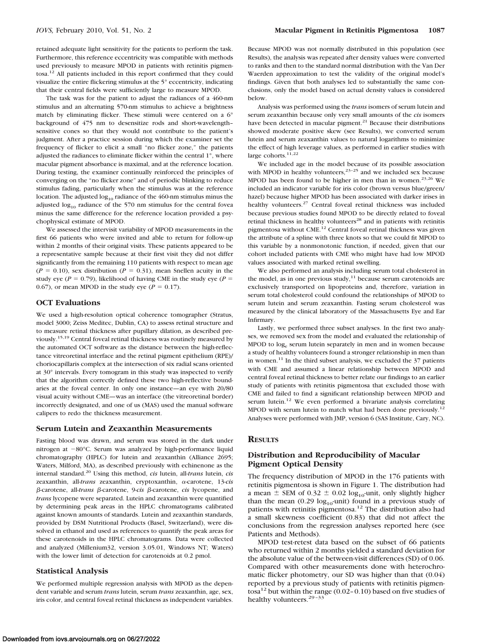retained adequate light sensitivity for the patients to perform the task. Furthermore, this reference eccentricity was compatible with methods used previously to measure MPOD in patients with retinitis pigmentosa.<sup>12</sup> All patients included in this report confirmed that they could visualize the entire flickering stimulus at the 5° eccentricity, indicating that their central fields were sufficiently large to measure MPOD.

The task was for the patient to adjust the radiances of a 460-nm stimulus and an alternating 570-nm stimulus to achieve a brightness match by eliminating flicker. These stimuli were centered on a 6° background of 475 nm to desensitize rods and short-wavelength– sensitive cones so that they would not contribute to the patient's judgment. After a practice session during which the examiner set the frequency of flicker to elicit a small "no flicker zone," the patients adjusted the radiances to eliminate flicker within the central 1°, where macular pigment absorbance is maximal, and at the reference location. During testing, the examiner continually reinforced the principles of converging on the "no flicker zone" and of periodic blinking to reduce stimulus fading, particularly when the stimulus was at the reference location. The adjusted  $log_{10}$  radiance of the 460-nm stimulus minus the adjusted  $log_{10}$  radiance of the 570 nm stimulus for the central fovea minus the same difference for the reference location provided a psychophysical estimate of MPOD.

We assessed the intervisit variability of MPOD measurements in the first 66 patients who were invited and able to return for follow-up within 2 months of their original visits. These patients appeared to be a representative sample because at their first visit they did not differ significantly from the remaining 110 patients with respect to mean age  $(P = 0.10)$ , sex distribution  $(P = 0.31)$ , mean Snellen acuity in the study eye ( $P = 0.79$ ), likelihood of having CME in the study eye ( $P =$ 0.67), or mean MPOD in the study eye ( $P = 0.17$ ).

#### **OCT Evaluations**

We used a high-resolution optical coherence tomographer (Stratus, model 3000; Zeiss Meditec, Dublin, CA) to assess retinal structure and to measure retinal thickness after pupillary dilation, as described previously.15,19 Central foveal retinal thickness was routinely measured by the automated OCT software as the distance between the high-reflectance vitreoretinal interface and the retinal pigment epithelium (RPE)/ choriocapillaris complex at the intersection of six radial scans oriented at 30° intervals. Every tomogram in this study was inspected to verify that the algorithm correctly defined these two high-reflective boundaries at the foveal center. In only one instance—an eye with 20/80 visual acuity without CME—was an interface (the vitreoretinal border) incorrectly designated, and one of us (MAS) used the manual software calipers to redo the thickness measurement.

#### **Serum Lutein and Zeaxanthin Measurements**

Fasting blood was drawn, and serum was stored in the dark under nitrogen at  $-80^{\circ}$ C. Serum was analyzed by high-performance liquid chromatography (HPLC) for lutein and zeaxanthin (Alliance 2695; Waters, Milford, MA), as described previously with echinenone as the internal standard.20 Using this method, *cis* lutein, all-*trans* lutein, *cis* zeaxanthin, all-*trans* zeaxanthin, cryptoxanthin,  $\alpha$ -carotene, 13-*cis*  $β$ -carotene, all-*trans*  $β$ -carotene, 9-*cis*  $β$ -carotene, *cis* lycopene, and *trans* lycopene were separated. Lutein and zeaxanthin were quantified by determining peak areas in the HPLC chromatograms calibrated against known amounts of standards. Lutein and zeaxanthin standards, provided by DSM Nutritional Products (Basel, Switzerland), were dissolved in ethanol and used as references to quantify the peak areas for these carotenoids in the HPLC chromatograms. Data were collected and analyzed (Millenium32, version 3.05.01, Windows NT; Waters) with the lower limit of detection for carotenoids at 0.2 pmol.

#### **Statistical Analysis**

We performed multiple regression analysis with MPOD as the dependent variable and serum *trans* lutein, serum *trans* zeaxanthin, age, sex, iris color, and central foveal retinal thickness as independent variables.

Because MPOD was not normally distributed in this population (see Results), the analysis was repeated after density values were converted to ranks and then to the standard normal distribution with the Van Der Waerden approximation to test the validity of the original model's findings. Given that both analyses led to substantially the same conclusions, only the model based on actual density values is considered below.

Analysis was performed using the *trans* isomers of serum lutein and serum zeaxanthin because only very small amounts of the *cis* isomers have been detected in macular pigment.<sup>21</sup> Because their distributions showed moderate positive skew (see Results), we converted serum lutein and serum zeaxanthin values to natural logarithms to minimize the effect of high leverage values, as performed in earlier studies with large cohorts.<sup>11,22</sup>

We included age in the model because of its possible association with MPOD in healthy volunteers, $23-25$  and we included sex because MPOD has been found to be higher in men than in women.<sup>23,26</sup> We included an indicator variable for iris color (brown versus blue/green/ hazel) because higher MPOD has been associated with darker irises in healthy volunteers.<sup>27</sup> Central foveal retinal thickness was included because previous studies found MPOD to be directly related to foveal retinal thickness in healthy volunteers<sup>28</sup> and in patients with retinitis pigmentosa without CME.12 Central foveal retinal thickness was given the attribute of a spline with three knots so that we could fit MPOD to this variable by a nonmonotonic function, if needed, given that our cohort included patients with CME who might have had low MPOD values associated with marked retinal swelling.

We also performed an analysis including serum total cholesterol in the model, as in one previous study, $11$  because serum carotenoids are exclusively transported on lipoproteins and, therefore, variation in serum total cholesterol could confound the relationships of MPOD to serum lutein and serum zeaxanthin. Fasting serum cholesterol was measured by the clinical laboratory of the Massachusetts Eye and Ear Infirmary.

Lastly, we performed three subset analyses. In the first two analyses, we removed sex from the model and evaluated the relationship of MPOD to log<sub>e</sub> serum lutein separately in men and in women because a study of healthy volunteers found a stronger relationship in men than in women.<sup>11</sup> In the third subset analysis, we excluded the  $37$  patients with CME and assumed a linear relationship between MPOD and central foveal retinal thickness to better relate our findings to an earlier study of patients with retinitis pigmentosa that excluded those with CME and failed to find a significant relationship between MPOD and serum lutein.<sup>12</sup> We even performed a bivariate analysis correlating MPOD with serum lutein to match what had been done previously.<sup>12</sup> Analyses were performed with JMP, version 6 (SAS Institute, Cary, NC).

#### **RESULTS**

## **Distribution and Reproducibility of Macular Pigment Optical Density**

The frequency distribution of MPOD in the 176 patients with retinitis pigmentosa is shown in Figure 1. The distribution had a mean  $\pm$  SEM of 0.32  $\pm$  0.02 log<sub>10</sub>-unit, only slightly higher than the mean  $(0.29 \log_{10}$ -unit) found in a previous study of patients with retinitis pigmentosa.<sup>12</sup> The distribution also had a small skewness coefficient (0.83) that did not affect the conclusions from the regression analyses reported here (see Patients and Methods).

MPOD test-retest data based on the subset of 66 patients who returned within 2 months yielded a standard deviation for the absolute value of the between-visit differences (SD) of 0.06. Compared with other measurements done with heterochromatic flicker photometry, our SD was higher than that (0.04) reported by a previous study of patients with retinitis pigmentosa<sup>12</sup> but within the range  $(0.02 - 0.10)$  based on five studies of healthy volunteers.<sup>29-33</sup>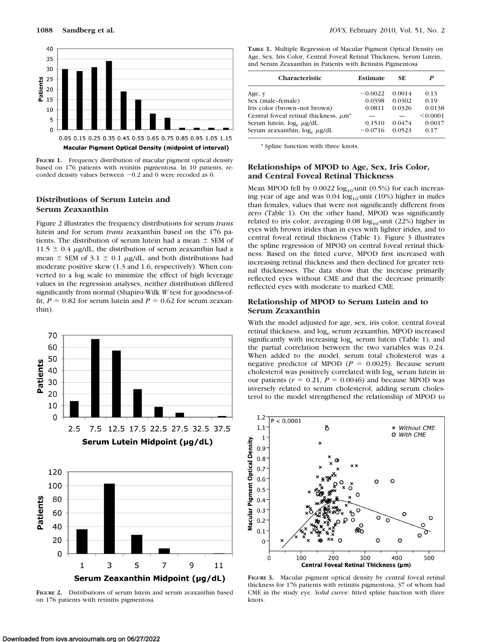

**FIGURE 1.** Frequency distribution of macular pigment optical density based on 176 patients with retinitis pigmentosa. In 10 patients, recorded density values between  $-0.2$  and 0 were recoded as 0.

# **Distributions of Serum Lutein and Serum Zeaxanthin**

Figure 2 illustrates the frequency distributions for serum *trans* lutein and for serum *trans* zeaxanthin based on the 176 patients. The distribution of serum lutein had a mean  $\pm$  SEM of  $11.5 \pm 0.4$  µg/dL, the distribution of serum zeaxanthin had a mean  $\pm$  SEM of 3.1  $\pm$  0.1  $\mu$ g/dL, and both distributions had moderate positive skew (1.3 and 1.6, respectively). When converted to a log scale to minimize the effect of high leverage values in the regression analyses, neither distribution differed significantly from normal (Shapiro-Wilk *W* test for goodness-offit,  $P = 0.82$  for serum lutein and  $P = 0.62$  for serum zeaxanthin).



**FIGURE 2.** Distributions of serum lutein and serum zeaxanthin based on 176 patients with retinitis pigmentosa.

**TABLE 1.** Multiple Regression of Macular Pigment Optical Density on Age, Sex, Iris Color, Central Foveal Retinal Thickness, Serum Lutein, and Serum Zeaxanthin in Patients with Retinitis Pigmentosa

| Characteristic                                         | Estimate  | SE.    | P        |
|--------------------------------------------------------|-----------|--------|----------|
| Age, y                                                 | $-0.0022$ | 0.0014 | 0.13     |
| Sex (male-female)                                      | 0.0398    | 0.0302 | 0.19     |
| Iris color (brown-not brown)                           | 0.0811    | 0.0326 | 0.0138   |
| Central foveal retinal thickness, $\mu$ m <sup>*</sup> |           |        | < 0.0001 |
| Serum lutein, $log_e \mu g/dL$                         | 0.1510    | 0.0474 | 0.0017   |
| Serum zeaxanthin, log, µg/dL                           | $-0.0716$ | 0.0523 | 0.17     |
|                                                        |           |        |          |

\* Spline function with three knots.

## **Relationships of MPOD to Age, Sex, Iris Color, and Central Foveal Retinal Thickness**

Mean MPOD fell by  $0.0022 \log_{10}$ -unit (0.5%) for each increasing year of age and was  $0.04 \log_{10}$ -unit (10%) higher in males than females, values that were not significantly different from zero (Table 1). On the other hand, MPOD was significantly related to iris color, averaging  $0.08 \log_{10}$ -unit (22%) higher in eyes with brown irides than in eyes with lighter irides, and to central foveal retinal thickness (Table 1). Figure 3 illustrates the spline regression of MPOD on central foveal retinal thickness. Based on the fitted curve, MPOD first increased with increasing retinal thickness and then declined for greater retinal thicknesses. The data show that the increase primarily reflected eyes without CME and that the decrease primarily reflected eyes with moderate to marked CME.

## **Relationship of MPOD to Serum Lutein and to Serum Zeaxanthin**

With the model adjusted for age, sex, iris color, central foveal retinal thickness, and log<sub>e</sub> serum zeaxanthin, MPOD increased significantly with increasing  $log_e$  serum lutein (Table 1), and the partial correlation between the two variables was 0.24. When added to the model, serum total cholesterol was a negative predictor of MPOD ( $P = 0.0025$ ). Because serum cholesterol was positively correlated with log<sub>e</sub> serum lutein in our patients  $(r = 0.21, P = 0.0046)$  and because MPOD was inversely related to serum cholesterol, adding serum cholesterol to the model strengthened the relationship of MPOD to



**FIGURE 3.** Macular pigment optical density by central foveal retinal thickness for 176 patients with retinitis pigmentosa, 37 of whom had CME in the study eye. *Solid curve*: fitted spline function with three knots.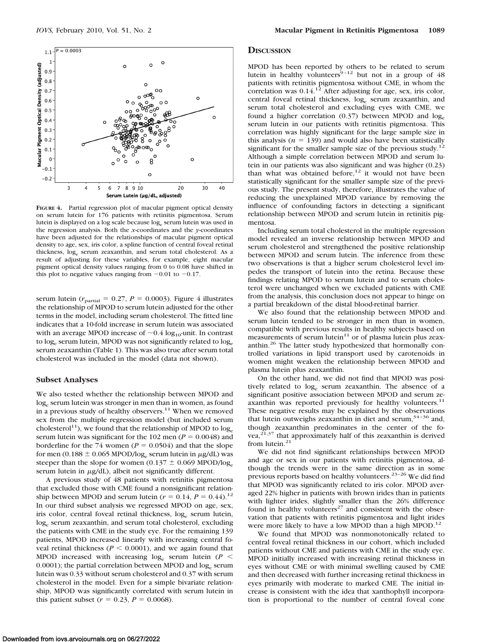

**FIGURE 4.** Partial regression plot of macular pigment optical density on serum lutein for 176 patients with retinitis pigmentosa. Serum lutein is displayed on a log scale because loge serum lutein was used in the regression analysis. Both the *x*-coordinates and the *y*-coordinates have been adjusted for the relationships of macular pigment optical density to age, sex, iris color, a spline function of central foveal retinal thickness, log. serum zeaxanthin, and serum total cholesterol. As a result of adjusting for these variables, for example, eight macular pigment optical density values ranging from 0 to 0.08 have shifted in this plot to negative values ranging from  $-0.01$  to  $-0.17$ .

serum lutein ( $r_{\text{partial}} = 0.27$ ,  $P = 0.0003$ ). Figure 4 illustrates the relationship of MPOD to serum lutein adjusted for the other terms in the model, including serum cholesterol. The fitted line indicates that a 10-fold increase in serum lutein was associated with an average MPOD increase of  $\sim 0.4 \log_{10}$ -unit. In contrast to log<sub>e</sub> serum lutein, MPOD was not significantly related to log<sub>e</sub> serum zeaxanthin (Table 1). This was also true after serum total cholesterol was included in the model (data not shown).

#### **Subset Analyses**

We also tested whether the relationship between MPOD and loge serum lutein was stronger in men than in women, as found in a previous study of healthy observers.<sup>11</sup> When we removed sex from the multiple regression model (but included serum cholesterol<sup>11</sup>), we found that the relationship of MPOD to  $log_e$ serum lutein was significant for the 102 men ( $P = 0.0048$ ) and borderline for the 74 women ( $P = 0.0504$ ) and that the slope for men (0.188  $\pm$  0.065 MPOD/log<sub>e</sub> serum lutein in  $\mu$ g/dL) was steeper than the slope for women (0.137  $\pm$  0.069 MPOD/log<sub>e</sub> serum lutein in  $\mu$ g/dL), albeit not significantly different.

A previous study of 48 patients with retinitis pigmentosa that excluded those with CME found a nonsignificant relationship between MPOD and serum lutein ( $r = 0.14$ ,  $P = 0.44$ ).<sup>12</sup> In our third subset analysis we regressed MPOD on age, sex, iris color, central foveal retinal thickness, log<sub>e</sub> serum lutein, loge serum zeaxanthin, and serum total cholesterol, excluding the patients with CME in the study eye. For the remaining 139 patients, MPOD increased linearly with increasing central foveal retinal thickness ( $P \leq 0.0001$ ), and we again found that MPOD increased with increasing  $log_e$  serum lutein ( $P$   $\leq$ 0.0001); the partial correlation between MPOD and  $log_e$  serum lutein was 0.33 without serum cholesterol and 0.37 with serum cholesterol in the model. Even for a simple bivariate relationship, MPOD was significantly correlated with serum lutein in this patient subset  $(r = 0.23, P = 0.0068)$ .

#### **DISCUSSION**

MPOD has been reported by others to be related to serum lutein in healthy volunteers<sup>9-12</sup> but not in a group of  $48$ patients with retinitis pigmentosa without CME, in whom the correlation was  $0.14<sup>12</sup>$  After adjusting for age, sex, iris color, central foveal retinal thickness, log<sub>e</sub> serum zeaxanthin, and serum total cholesterol and excluding eyes with CME, we found a higher correlation  $(0.37)$  between MPOD and  $log_e$ serum lutein in our patients with retinitis pigmentosa. This correlation was highly significant for the large sample size in this analysis  $(n = 139)$  and would also have been statistically significant for the smaller sample size of the previous study.<sup>12</sup> Although a simple correlation between MPOD and serum lutein in our patients was also significant and was higher (0.23) than what was obtained before, $12$  it would not have been statistically significant for the smaller sample size of the previous study. The present study, therefore, illustrates the value of reducing the unexplained MPOD variance by removing the influence of confounding factors in detecting a significant relationship between MPOD and serum lutein in retinitis pigmentosa.

Including serum total cholesterol in the multiple regression model revealed an inverse relationship between MPOD and serum cholesterol and strengthened the positive relationship between MPOD and serum lutein. The inference from these two observations is that a higher serum cholesterol level impedes the transport of lutein into the retina. Because these findings relating MPOD to serum lutein and to serum cholesterol were unchanged when we excluded patients with CME from the analysis, this conclusion does not appear to hinge on a partial breakdown of the distal blood-retinal barrier.

We also found that the relationship between MPOD and serum lutein tended to be stronger in men than in women, compatible with previous results in healthy subjects based on measurements of serum lutein $11$  or of plasma lutein plus zeaxanthin.26 The latter study hypothesized that hormonally controlled variations in lipid transport used by carotenoids in women might weaken the relationship between MPOD and plasma lutein plus zeaxanthin.

On the other hand, we did not find that MPOD was positively related to log<sub>e</sub> serum zeaxanthin. The absence of a significant positive association between MPOD and serum zeaxanthin was reported previously for healthy volunteers. $11$ These negative results may be explained by the observations that lutein outweighs zeaxanthin in diet and serum,  $34-36$  and, though zeaxanthin predominates in the center of the fovea, $21,37$  that approximately half of this zeaxanthin is derived from lutein. $21$ 

We did not find significant relationships between MPOD and age or sex in our patients with retinitis pigmentosa, although the trends were in the same direction as in some previous reports based on healthy volunteers.<sup>23-26</sup> We did find that MPOD was significantly related to iris color. MPOD averaged 22% higher in patients with brown irides than in patients with lighter irides, slightly smaller than the 26% difference found in healthy volunteers<sup>27</sup> and consistent with the observation that patients with retinitis pigmentosa and light irides were more likely to have a low MPOD than a high MPOD.<sup>12</sup>

We found that MPOD was nonmonotonically related to central foveal retinal thickness in our cohort, which included patients without CME and patients with CME in the study eye. MPOD initially increased with increasing retinal thickness in eyes without CME or with minimal swelling caused by CME and then decreased with further increasing retinal thickness in eyes primarily with moderate to marked CME. The initial increase is consistent with the idea that xanthophyll incorporation is proportional to the number of central foveal cone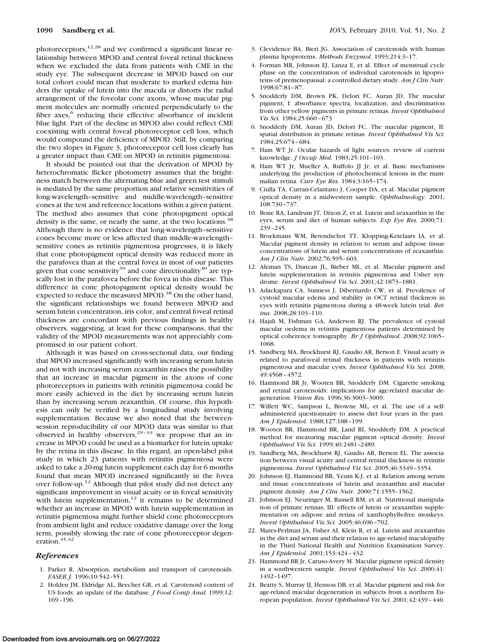photoreceptors, $12,28$  and we confirmed a significant linear relationship between MPOD and central foveal retinal thickness when we excluded the data from patients with CME in the study eye. The subsequent decrease in MPOD based on our total cohort could mean that moderate to marked edema hinders the uptake of lutein into the macula or distorts the radial arrangement of the foveolar cone axons, whose macular pigment molecules are normally oriented perpendicularly to the fiber axes,<sup>6</sup> reducing their effective absorbance of incident blue light. Part of the decline in MPOD also could reflect CME coexisting with central foveal photoreceptor cell loss, which would compound the deficiency of MPOD. Still, by comparing the two slopes in Figure 3, photoreceptor cell loss clearly has a greater impact than CME on MPOD in retinitis pigmentosa.

It should be pointed out that the derivation of MPOD by heterochromatic flicker photometry assumes that the brightness match between the alternating blue and green test stimuli is mediated by the same proportion and relative sensitivities of long-wavelength–sensitive and middle-wavelength–sensitive cones at the test and reference locations within a given patient. The method also assumes that cone photopigment optical density is the same, or nearly the same, at the two locations.<sup>38</sup> Although there is no evidence that long-wavelength–sensitive cones become more or less affected than middle-wavelength– sensitive cones as retinitis pigmentosa progresses, it is likely that cone photopigment optical density was reduced more in the parafovea than at the central fovea in most of our patients given that cone sensitivity<sup>39</sup> and cone directionality<sup>40</sup> are typically lost in the parafovea before the fovea in this disease. This difference in cone photopigment optical density would be expected to reduce the measured MPOD.<sup>38</sup> On the other hand, the significant relationships we found between MPOD and serum lutein concentration, iris color, and central foveal retinal thickness are concordant with previous findings in healthy observers, suggesting, at least for these comparisons, that the validity of the MPOD measurements was not appreciably compromised in our patient cohort.

Although it was based on cross-sectional data, our finding that MPOD increased significantly with increasing serum lutein and not with increasing serum zeaxanthin raises the possibility that an increase in macular pigment in the axons of cone photoreceptors in patients with retinitis pigmentosa could be more easily achieved in the diet by increasing serum lutein than by increasing serum zeaxanthin. Of course, this hypothesis can only be verified by a longitudinal study involving supplementation. Because we also noted that the betweensession reproducibility of our MPOD data was similar to that observed in healthy observers,  $29-33$  we propose that an increase in MPOD could be used as a biomarker for lutein uptake by the retina in this disease. In this regard, an open-label pilot study in which 23 patients with retinitis pigmentosa were asked to take a 20-mg lutein supplement each day for 6 months found that mean MPOD increased significantly in the fovea over follow-up.12 Although that pilot study did not detect any significant improvement in visual acuity or in foveal sensitivity with lutein supplementation, $12$  it remains to be determined whether an increase in MPOD with lutein supplementation in retinitis pigmentosa might further shield cone photoreceptors from ambient light and reduce oxidative damage over the long term, possibly slowing the rate of cone photoreceptor degeneration.<sup>41,42</sup>

#### *References*

- 1. Parker R. Absorption, metabolism and transport of carotenoids. *FASEB J.* 1996;10:542–551.
- 2. Holden JM, Eldridge AL, Beecher GR, et al. Carotenoid content of US foods: an update of the database. *J Food Comp Anal.* 1999;12: 169 –196.
- 3. Clevidence BA, Bieri JG. Association of carotenoids with human plasma lipoproteins. *Methods Enzymol.* 1993;214:3–17.
- 4. Forman MR, Johnson EJ, Lanza E, et al. Effect of menstrual cycle phase on the concentration of individual carotenoids in lipoproteins of premenopausal: a controlled dietary study. *Am J Clin Nutr.* 1998;67:81– 87.
- 5. Snodderly DM, Brown PK, Delori FC, Auran JD. The macular pigment, I: absorbance spectra, localization, and discrimination from other yellow pigments in primate retinas. *Invest Ophthalmol Vis Sci.* 1984;25:660 – 673.
- 6. Snodderly DM, Auran JD, Delori FC. The macular pigment, II: spatial distribution in primate retinas. *Invest Ophthalmol Vis Sci.* 1984;25:674 – 684.
- 7. Ham WT Jr. Ocular hazards of light sources: review of current knowledge. *J Occup Med.* 1983;25:101–103.
- 8. Ham WT Jr, Mueller A, Ruffolo JJ Jr, et al. Basic mechanisms underlying the production of photochemical lesions in the mammalian retina. *Curr Eye Res.* 1984;3:165–174.
- 9. Ciulla TA, Curran-Celantano J, Cooper DA, et al. Macular pigment optical density in a midwestern sample. *Ophthalmology.* 2001; 108:730 –737.
- 10. Bone RA, Landrum JT, Dixon Z, et al. Lutein and zeaxanthin in the eyes, serum and diet of human subjects. *Exp Eye Res.* 2000;71: 239 –245.
- 11. Broekmans WM, Berendschot TT, Klopping-Ketelaars IA, et al. Macular pigment density in relation to serum and adipose tissue concentrations of lutein and serum concentrations of zeaxanthin. *Am J Clin Nutr.* 2002;76:595– 603.
- 12. Aleman TS, Duncan JL, Bieber ML, et al. Macular pigment and lutein supplementation in retinitis pigmentosa and Usher syndrome. *Invest Ophthalmol Vis Sci.* 2001;42:1873–1881.
- 13. Adackapara CA, Sunness J, Dibernardo CW, et al. Prevalence of cystoid macular edema and stability in OCT retinal thickness in eyes with retinitis pigmentosa during a 48-week lutein trial. *Retina.* 2008;28:103–110.
- 14. Hajali M, Fishman GA, Anderson RJ. The prevalence of cystoid macular oedema in retinitis pigmentosa patients determined by optical coherence tomography. *Br J Ophthalmol.* 2008;92:1065– 1068.
- 15. Sandberg MA, Brockhurst RJ, Gaudio AR, Berson E. Visual acuity is related to parafoveal retinal thickness in patients with retinitis pigmentosa and macular cysts. *Invest Ophthalmol Vis Sci.* 2008; 49:4568 – 4572.
- 16. Hammond BR Jr, Wooten BR, Snodderly DM. Cigarette smoking and retinal carotenoids: implications for age-related macular degeneration. *Vision Res.* 1996;36:3003–3009.
- 17. Willett WC, Sampson L, Browne ML, et al. The use of a selfadministered questionnaire to assess diet four years in the past. *Am J Epidemiol.* 1988;127:188 –199.
- 18. Wooten BR, Hammond BR, Land RI, Snodderly DM. A practical method for measuring macular pigment optical density. *Invest Ophthalmol Vis Sci.* 1999;40:2481–2489.
- 19. Sandberg MA, Brockhurst RJ, Gaudio AR, Berson EL. The association between visual acuity and central retinal thickness in retinitis pigmentosa. *Invest Ophthalmol Vis Sci.* 2005;46:3349 –3354.
- 20. Johnson EJ, Hammond BR, Yeum K-J, et al. Relation among serum and tissue concentrations of lutein and zeaxanthin and macular pigment density. *Am J Clin Nutr.* 2000;71:1555–1562.
- 21. Johnson EJ, Neuringer M, Russell RM, et al. Nutritional manipulation of primate retinas, III: effects of lutein or zeaxanthin supplementation on adipose and retina of xanthophylls-free monkeys. *Invest Ophthalmol Vis Sci.* 2005;46:696 –702.
- 22. Mares-Perlman JA, Fisher AI, Klein R, et al. Lutein and zeaxanthin in the diet and serum and their relation to age-related maculopathy in the Third National Health and Nutrition Examination Survey. *Am J Epidemiol.* 2001;153:424 – 432.
- 23. Hammond BR Jr, Caruso-Avery M. Macular pigment optical density in a southwestern sample. *Invest Ophthalmol Vis Sci.* 2000;41: 1492–1497.
- 24. Beatty S, Murray IJ, Henson DB, et al. Macular pigment and risk for age-related macular degeneration in subjects from a northern European population. *Invest Ophthalmol Vis Sci.* 2001;42:439 – 446.